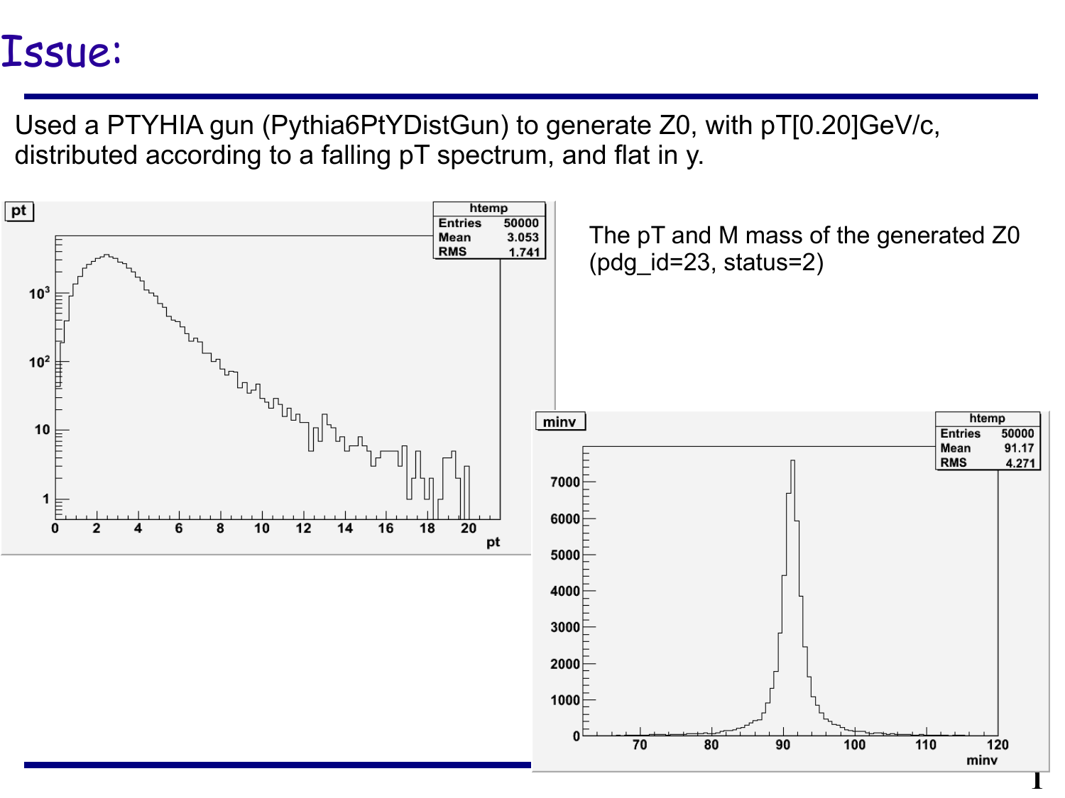### Issue:

Used a PTYHIA gun (Pythia6PtYDistGun) to generate Z0, with pT[0.20]GeV/c, distributed according to a falling pT spectrum, and flat in y.

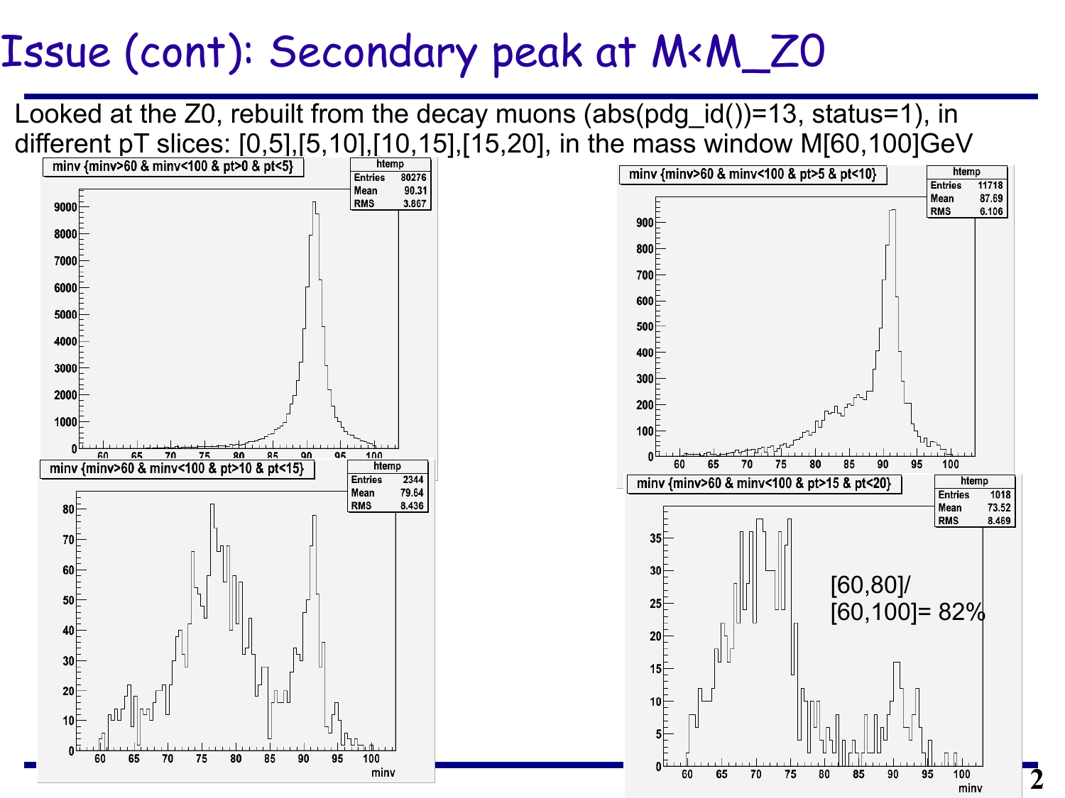### Issue (cont): Secondary peak at M<M\_Z0

Looked at the Z0, rebuilt from the decay muons (abs(pdg\_id())=13, status=1), in different pT slices:  $[0,5]$ , $[5,10]$ , $[10,15]$ , $[15,20]$ , in the mass window M $[60,100]$ GeV





**2**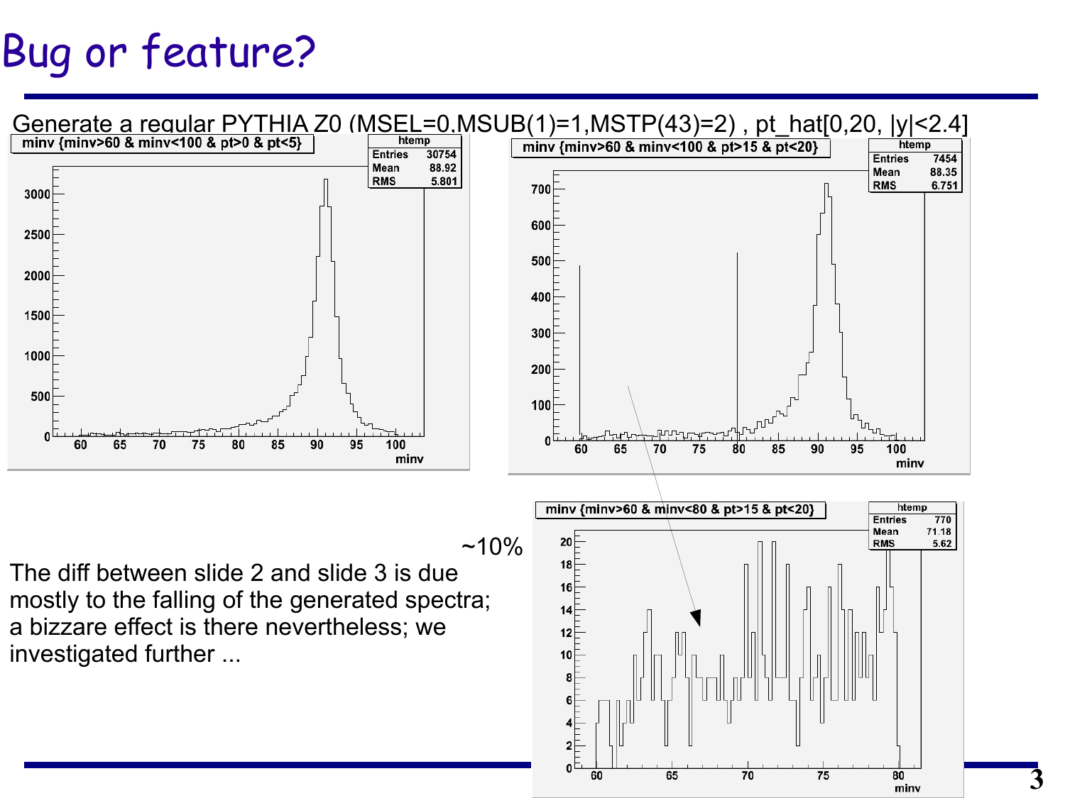## Bug or feature?

![](_page_2_Figure_1.jpeg)

**3**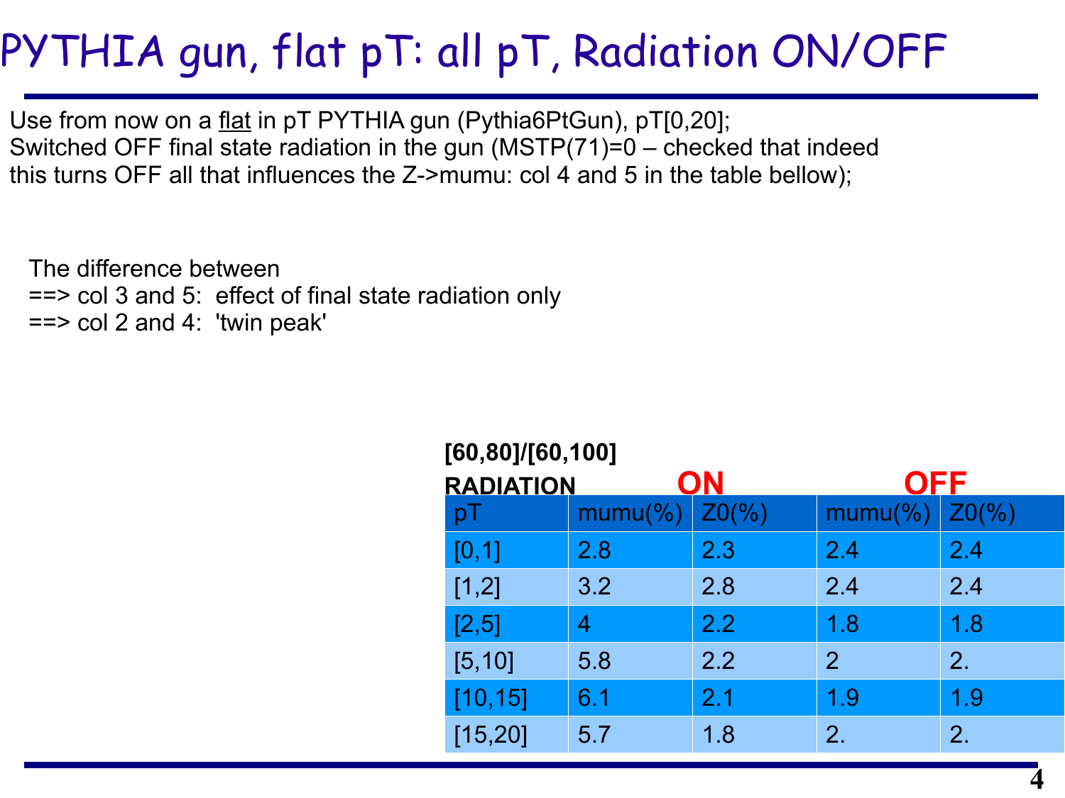# PYTHIA gun, flat pT: all pT, Radiation ON/OFF

**[60,80]/[60,100]**

Use from now on a flat in pT PYTHIA gun (Pythia6PtGun), pT[0,20]; Switched OFF final state radiation in the gun (MSTP(71)=0 – checked that indeed this turns OFF all that influences the Z->mumu: col 4 and 5 in the table bellow);

The difference between ==> col 3 and 5: effect of final state radiation only  $==$  col 2 and 4: 'twin peak'

| [60, 80] / [60, 100]   |                      |                 |                |                 |
|------------------------|----------------------|-----------------|----------------|-----------------|
| ON<br><b>RADIATION</b> |                      |                 | <b>OFF</b>     |                 |
| рI                     | mumu( <sub>9</sub> ) | $Z0\frac{9}{6}$ | $mumu(\%)$     | $Z0\frac{9}{6}$ |
| [0,1]                  | 2.8                  | 2.3             | 2.4            | 2.4             |
| [1,2]                  | 3.2                  | 2.8             | 2.4            | 2.4             |
| [2,5]                  | 4                    | 2.2             | 1.8            | 1.8             |
| [5, 10]                | 5.8                  | 2.2             | $\overline{2}$ | 2.              |
| [10, 15]               | 6.1                  | 2.1             | 1.9            | 1.9             |
| [15, 20]               | 5.7                  | 1.8             | 2.             | 2.              |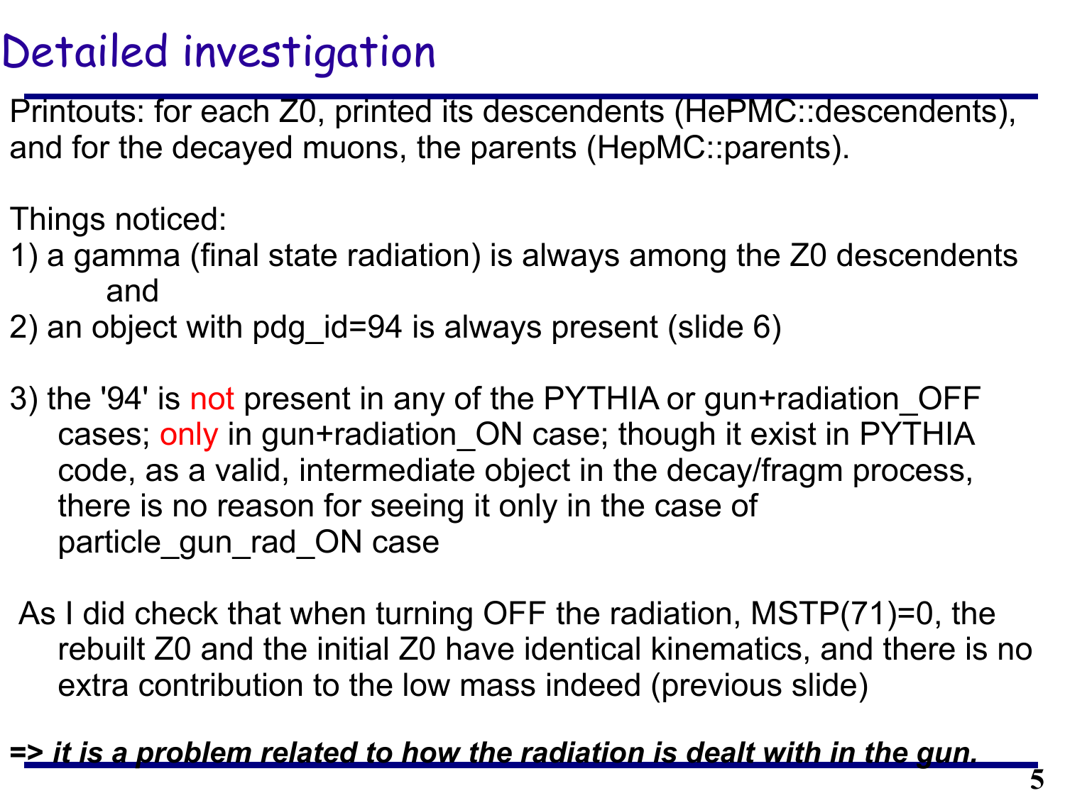### Detailed investigation

Printouts: for each Z0, printed its descendents (HePMC::descendents), and for the decayed muons, the parents (HepMC::parents).

Things noticed:

- 1) a gamma (final state radiation) is always among the Z0 descendents and
- 2) an object with pdg\_id=94 is always present (slide 6)
- 3) the '94' is not present in any of the PYTHIA or gun+radiation OFF cases; only in gun+radiation\_ON case; though it exist in PYTHIA code, as a valid, intermediate object in the decay/fragm process, there is no reason for seeing it only in the case of particle\_gun\_rad\_ON case
- As I did check that when turning OFF the radiation, MSTP(71)=0, the rebuilt Z0 and the initial Z0 have identical kinematics, and there is no extra contribution to the low mass indeed (previous slide)

### **=>** *it is a problem related to how the radiation is dealt with in the gun.*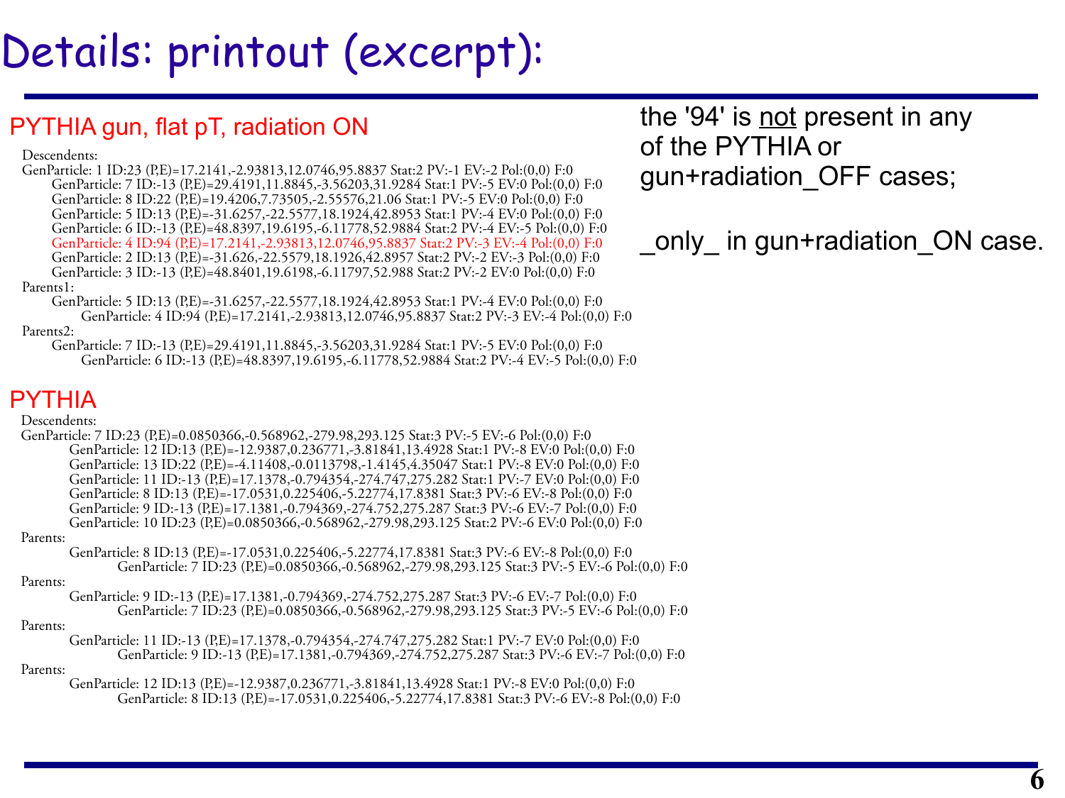# Details: printout (excerpt):

### PYTHIA gun, flat pT, radiation ON

### Descendents:

GenParticle: 1 ID:23 (P,E)=17.2141,-2.93813,12.0746,95.8837 Stat:2 PV:-1 EV:-2 Pol:(0,0) F:0 GenParticle: 7 ID:-13 (P.E)=29.4191,11.8845,-3.56203,31.9284 Stat:1 PV:-5 EV:0 Pol:(0,0) F:0 GenParticle: 8 ID:22 (P,E)=19.4206,7.73505,-2.55576,21.06 Stat:1 PV:-5 EV:0 Pol:(0,0) F:0 GenParticle: 5 ID:13 (P,E)=-31.6257,-22.5577,18.1924,42.8953 Stat:1 PV:-4 EV:0 Pol:(0,0) F:0 GenParticle: 6 ID:-13 (P,E)=48.8397,19.6195,-6.11778,52.9884 Stat:2 PV:-4 EV:-5 Pol:(0,0) F:0 GenParticle: 4 ID:94 (P,E)=17.2141,-2.93813,12.0746,95.8837 Stat:2 PV:-3 EV:-4 Pol:(0,0) F:0 GenParticle: 2 ID:13 (P,E)=-31.626,-22.5579,18.1926,42.8957 Stat:2 PV:-2 EV:-3 Pol:(0,0) F:0 GenParticle: 3 ID:-13 (P,E)=48.8401,19.6198,-6.11797,52.988 Stat:2 PV:-2 EV:0 Pol:(0,0) F:0 Parents1:

 GenParticle: 5 ID:13 (P,E)=-31.6257,-22.5577,18.1924,42.8953 Stat:1 PV:-4 EV:0 Pol:(0,0) F:0 GenParticle: 4 ID:94 (P,E)=17.2141,-2.93813,12.0746,95.8837 Stat:2 PV:-3 EV:-4 Pol:(0,0) F:0 Parents2:

 GenParticle: 7 ID:-13 (P,E)=29.4191,11.8845,-3.56203,31.9284 Stat:1 PV:-5 EV:0 Pol:(0,0) F:0 GenParticle: 6 ID:-13 (P,E)=48.8397,19.6195.-6.11778,52.9884 Stat:2 PV:-4 EV:-5 Pol:(0,0) F:0

### PYTHIA

Descendents:

GenParticle: 7 ID:23 (P,E)=0.0850366,-0.568962,-279.98,293.125 Stat:3 PV:-5 EV:-6 Pol:(0,0) F:0 GenParticle: 12 ID:13 (P,E)=-12.9387,0.236771,-3.81841,13.4928 Stat:1 PV:-8 EV:0 Pol:(0,0) F:0 GenParticle: 13 ID:22 (P,E)=-4.11408,-0.0113798,-1.4145,4.35047 Stat:1 PV:-8 EV:0 Pol:(0,0) F:0 GenParticle: 11 ID:-13 (P,E)=17.1378,-0.794354,-274.747,275.282 Stat:1 PV:-7 EV:0 Pol:(0,0) F:0 GenParticle: 8 ID:13 (P,E)=-17.0531,0.225406,-5.22774,17.8381 Stat:3 PV:-6 EV:-8 Pol:(0,0) F:0 GenParticle: 9 ID:-13 (P,E)=17.1381,-0.794369,-274.752,275.287 Stat:3 PV:-6 EV:-7 Pol:(0,0) F:0 GenParticle: 10 ID:23 (P,E)=0.0850366,-0.568962,-279.98,293.125 Stat:2 PV:-6 EV:0 Pol:(0,0) F:0 Parents:

GenParticle: 8 ID:13 (P,E)=-17.0531,0.225406,-5.22774,17.8381 Stat:3 PV:-6 EV:-8 Pol:(0,0) F:0 GenParticle: 7 ID:23 (P,E)=0.0850366,-0.568962,-279.98,293.125 Stat:3 PV:-5 EV:-6 Pol:(0,0) F:0

Parents:

GenParticle: 9 ID:-13 (P,E)=17.1381,-0.794369,-274.752,275.287 Stat:3 PV:-6 EV:-7 Pol:(0,0) F:0 GenParticle: 7 ID:23 (P,E)=0.0850366,-0.568962,-279.98,293.125 Stat:3 PV:-5 EV:-6 Pol:(0,0) F:0

#### Parents:

GenParticle: 11 ID:-13 (P,E)=17.1378,-0.794354,-274.747,275.282 Stat:1 PV:-7 EV:0 Pol:(0,0) F:0 GenParticle: 9 ID:-13 (P,E)=17.1381,-0.794369,-274.752,275.287 Stat:3 PV:-6 EV:-7 Pol:(0,0) F:0

#### Parents:

GenParticle: 12 ID:13 (P,E)=-12.9387.0.236771,-3.81841,13.4928 Stat:1 PV:-8 EV:0 Pol:(0,0) F:0 GenParticle: 8 ID:13 (P,E)=-17.0531,0.225406,-5.22774,17.8381 Stat:3 PV:-6 EV:-8 Pol:(0,0) F:0

the '94' is not present in any of the PYTHIA or gun+radiation\_OFF cases;

\_only\_ in gun+radiation\_ON case.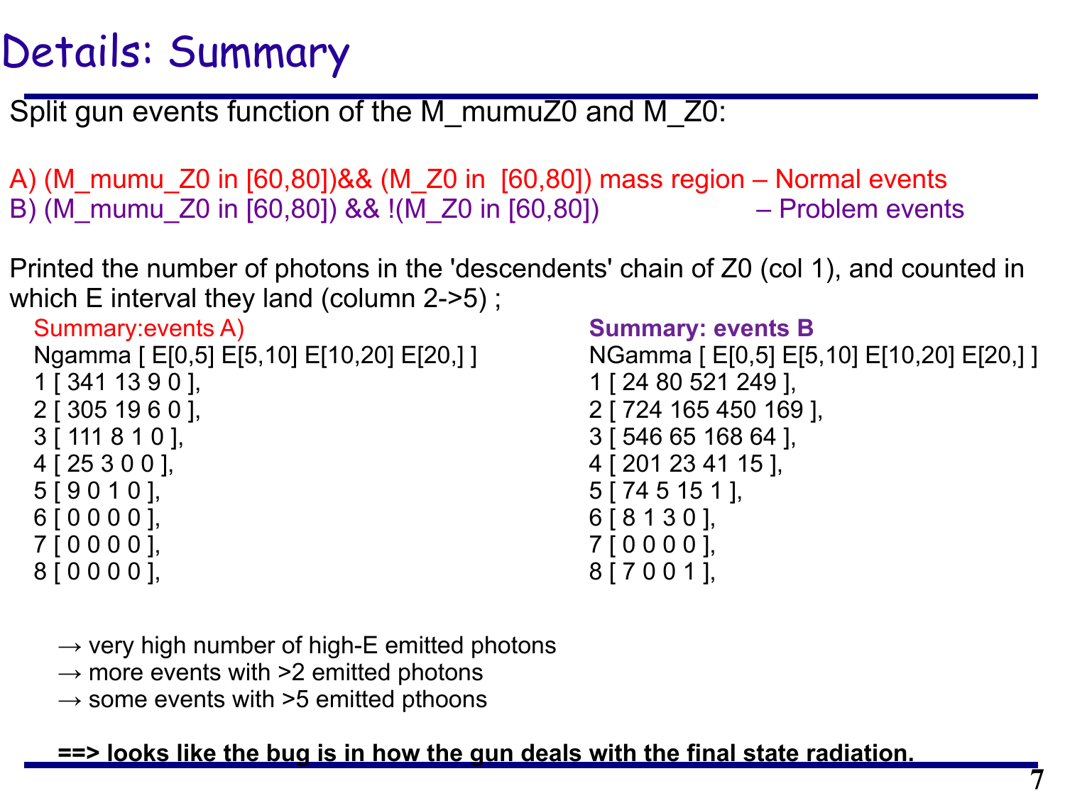### Details: Summary

Split gun events function of the M\_mumuZ0 and M\_Z0:

A) (M\_mumu\_Z0 in [60,80])&& (M\_Z0 in [60,80]) mass region – Normal events B) (M\_mumu\_Z0 in [60,80]) && !(M\_Z0 in [60,80]) – Problem events

Printed the number of photons in the 'descendents' chain of Z0 (col 1), and counted in which E interval they land (column 2->5);

Summary:events A) Ngamma [ E[0,5] E[5,10] E[10,20] E[20,] ] 1 [ 341 13 9 0 ], 2 [ 305 19 6 0 ], 3 [ 111 8 1 0 ], 4 [ 25 3 0 0 ], 5 [ 9 0 1 0 ], 6 [ 0 0 0 0 ], 7 [ 0 0 0 0 ], 8 [ 0 0 0 0 ],

### **Summary: events B**

```
NGamma [ E[0,5] E[5,10] E[10,20] E[20,] ]
1 [ 24 80 521 249 ],
2 [ 724 165 450 169 ],
3 [ 546 65 168 64 ],
4 [ 201 23 41 15 ],
5 [ 74 5 15 1 ],
6 [ 8 1 3 0 ],
7 [ 0 0 0 0 ],
8 [ 7 0 0 1 ],
```
- $\rightarrow$  very high number of high-E emitted photons
- $\rightarrow$  more events with  $>2$  emitted photons
- $\rightarrow$  some events with  $>5$  emitted pthoons

**==> looks like the bug is in how the gun deals with the final state radiation.**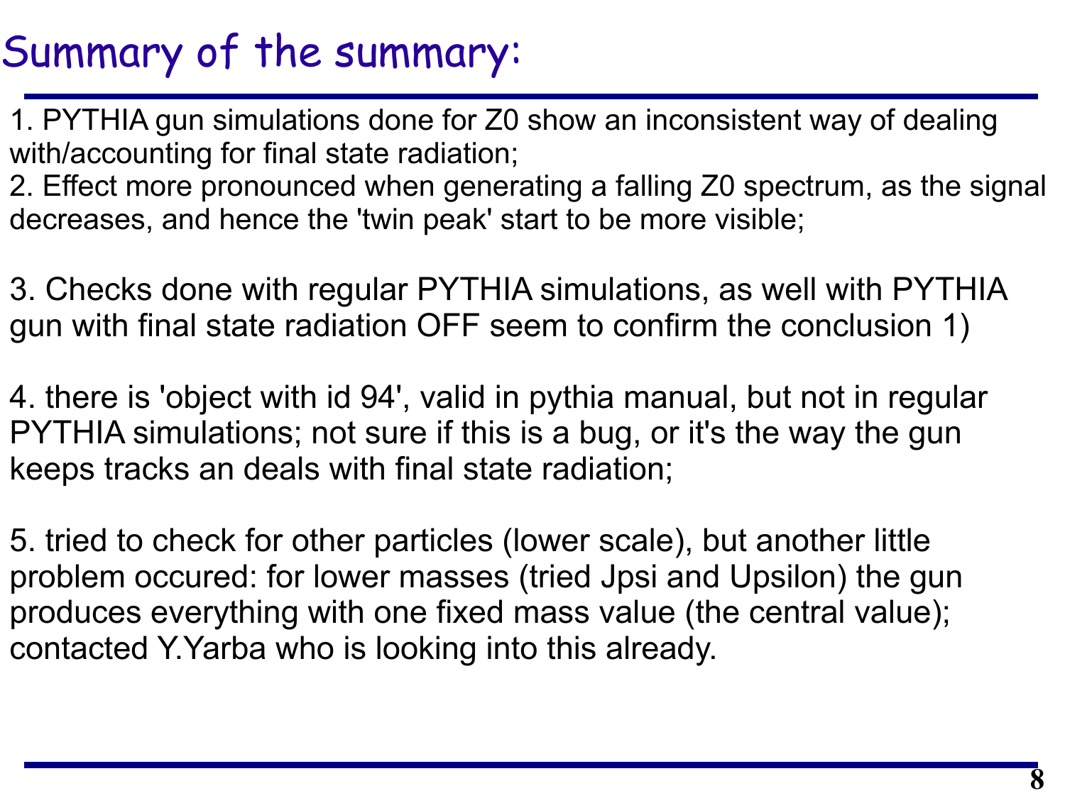### Summary of the summary:

1. PYTHIA gun simulations done for Z0 show an inconsistent way of dealing with/accounting for final state radiation;

2. Effect more pronounced when generating a falling Z0 spectrum, as the signal decreases, and hence the 'twin peak' start to be more visible;

3. Checks done with regular PYTHIA simulations, as well with PYTHIA gun with final state radiation OFF seem to confirm the conclusion 1)

4. there is 'object with id 94', valid in pythia manual, but not in regular PYTHIA simulations; not sure if this is a bug, or it's the way the gun keeps tracks an deals with final state radiation;

5. tried to check for other particles (lower scale), but another little problem occured: for lower masses (tried Jpsi and Upsilon) the gun produces everything with one fixed mass value (the central value); contacted Y.Yarba who is looking into this already.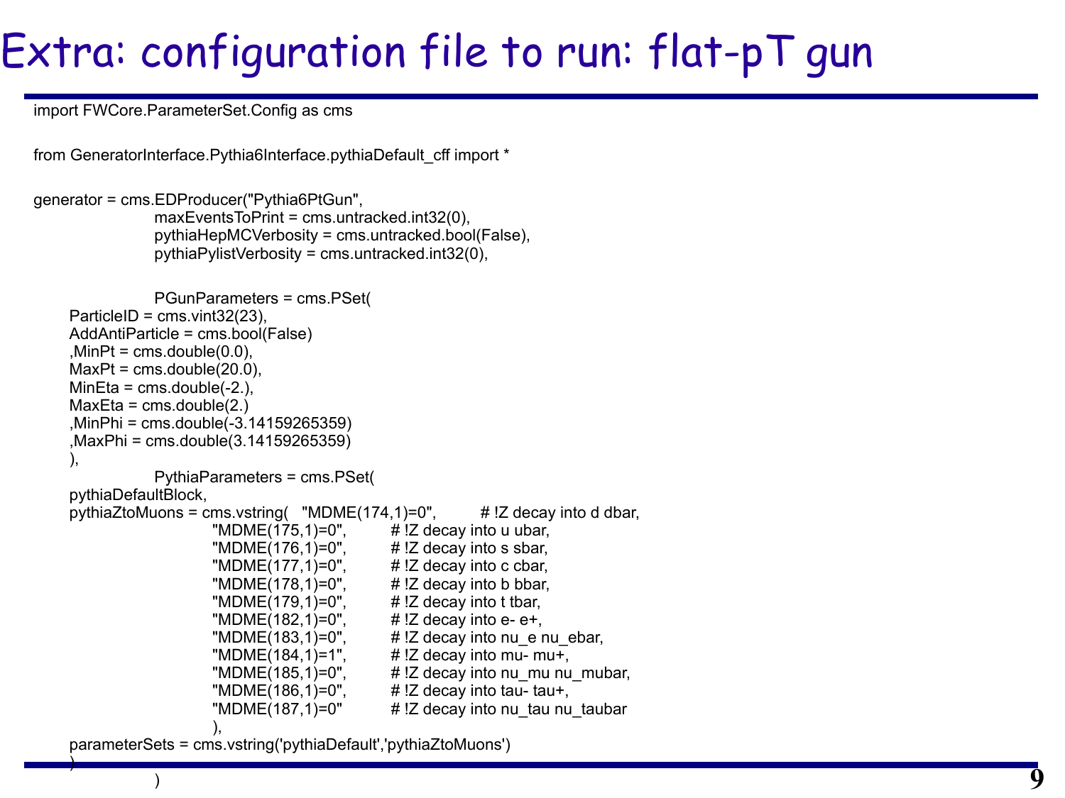# Extra: configuration file to run: flat-pT gun

**9**

import FWCore.ParameterSet.Config as cms

from GeneratorInterface.Pythia6Interface.pythiaDefault\_cff import \*

```
generator = cms.EDProducer("Pythia6PtGun",
                maxEventsToPrint = cms.untracked.int32(0),
                pythiaHepMCVerbosity = cms.untracked.bool(False),
                pythiaPylistVerbosity = cms.untracked.int32(0),
                PGunParameters = cms.PSet(
    ParticleID = \text{cm}s.vint32(23),
     AddAntiParticle = cms.bool(False)
    MinPt = cms.double(0.0),MaxPt = cms.double(20.0),
    MinEta = cms.double(-2.),MaxEta = cms.double(2.) ,MinPhi = cms.double(-3.14159265359)
      ,MaxPhi = cms.double(3.14159265359)
 ),
                PythiaParameters = cms.PSet(
     pythiaDefaultBlock,
    pythiaZtoMuons = cms.vstring( \text{``MDME}(174,1)=0\text{''}, # !Z decay into d dbar,
                       "MDME(175,1)=0", # !Z decay into u ubar,
                       "MDME(176,1)=0", \#!Z decay into s sbar,
                       "MDME(177,1)=0", # !Z decay into c cbar,
                       "MDME(178,1)=0", \#!Z decay into b bbar,
                       "MDME(179,1)=0", \#!Z decay into t tbar,
                       "MDME(182,1)=0", \#!Z decay into e- e+,
                       "MDME(183,1)=0", \#!Z decay into nu e nu ebar,
                       "MDME(184,1)=1", \#!Z decay into mu- mu+,
                       "MDME(185,1)=0", \qquad \qquad \#!Z decay into nu_mu nu_mubar,
                       "MDME(186,1)=0", \#!Z decay into tau- tau+,
                       "MDME(187,1)=0" \# !Z decay into nu tau nu taubar
                       ),
```
 parameterSets = cms.vstring('pythiaDefault','pythiaZtoMuons') )

 $\hspace{0.5cm}$